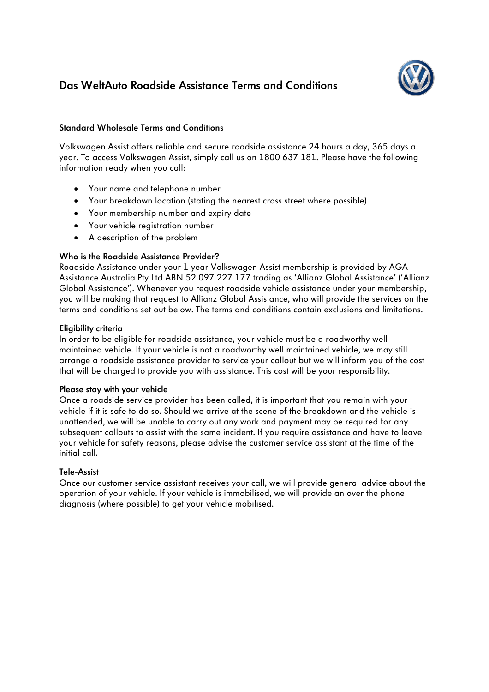# **Das WeltAuto Roadside Assistance Terms and Conditions**

# **Standard Wholesale Terms and Conditions**

Volkswagen Assist offers reliable and secure roadside assistance 24 hours a day, 365 days a year. To access Volkswagen Assist, simply call us on 1800 637 181. Please have the following information ready when you call:

- Your name and telephone number
- Your breakdown location (stating the nearest cross street where possible)
- Your membership number and expiry date
- Your vehicle registration number
- A description of the problem

# **Who is the Roadside Assistance Provider?**

Roadside Assistance under your 1 year Volkswagen Assist membership is provided by AGA Assistance Australia Pty Ltd ABN 52 097 227 177 trading as 'Allianz Global Assistance' ('Allianz Global Assistance'). Whenever you request roadside vehicle assistance under your membership, you will be making that request to Allianz Global Assistance, who will provide the services on the terms and conditions set out below. The terms and conditions contain exclusions and limitations.

# **Eligibility criteria**

In order to be eligible for roadside assistance, your vehicle must be a roadworthy well maintained vehicle. If your vehicle is not a roadworthy well maintained vehicle, we may still arrange a roadside assistance provider to service your callout but we will inform you of the cost that will be charged to provide you with assistance. This cost will be your responsibility.

# **Please stay with your vehicle**

Once a roadside service provider has been called, it is important that you remain with your vehicle if it is safe to do so. Should we arrive at the scene of the breakdown and the vehicle is unattended, we will be unable to carry out any work and payment may be required for any subsequent callouts to assist with the same incident. If you require assistance and have to leave your vehicle for safety reasons, please advise the customer service assistant at the time of the initial call.

# **Tele-Assist**

Once our customer service assistant receives your call, we will provide general advice about the operation of your vehicle. If your vehicle is immobilised, we will provide an over the phone diagnosis (where possible) to get your vehicle mobilised.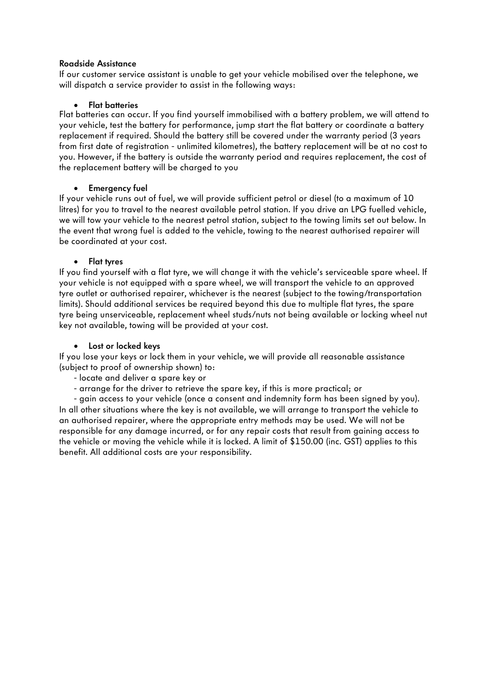# **Roadside Assistance**

If our customer service assistant is unable to get your vehicle mobilised over the telephone, we will dispatch a service provider to assist in the following ways:

# • **Flat batteries**

Flat batteries can occur. If you find yourself immobilised with a battery problem, we will attend to your vehicle, test the battery for performance, jump start the flat battery or coordinate a battery replacement if required. Should the battery still be covered under the warranty period (3 years from first date of registration - unlimited kilometres), the battery replacement will be at no cost to you. However, if the battery is outside the warranty period and requires replacement, the cost of the replacement battery will be charged to you

# • **Emergency fuel**

If your vehicle runs out of fuel, we will provide sufficient petrol or diesel (to a maximum of 10 litres) for you to travel to the nearest available petrol station. If you drive an LPG fuelled vehicle, we will tow your vehicle to the nearest petrol station, subject to the towing limits set out below. In the event that wrong fuel is added to the vehicle, towing to the nearest authorised repairer will be coordinated at your cost.

# • **Flat tyres**

If you find yourself with a flat tyre, we will change it with the vehicle's serviceable spare wheel. If your vehicle is not equipped with a spare wheel, we will transport the vehicle to an approved tyre outlet or authorised repairer, whichever is the nearest (subject to the towing/transportation limits). Should additional services be required beyond this due to multiple flat tyres, the spare tyre being unserviceable, replacement wheel studs/nuts not being available or locking wheel nut key not available, towing will be provided at your cost.

# • **Lost or locked keys**

If you lose your keys or lock them in your vehicle, we will provide all reasonable assistance (subject to proof of ownership shown) to:

- locate and deliver a spare key or
- arrange for the driver to retrieve the spare key, if this is more practical; or

 - gain access to your vehicle (once a consent and indemnity form has been signed by you). In all other situations where the key is not available, we will arrange to transport the vehicle to an authorised repairer, where the appropriate entry methods may be used. We will not be responsible for any damage incurred, or for any repair costs that result from gaining access to the vehicle or moving the vehicle while it is locked. A limit of \$150.00 (inc. GST) applies to this benefit. All additional costs are your responsibility.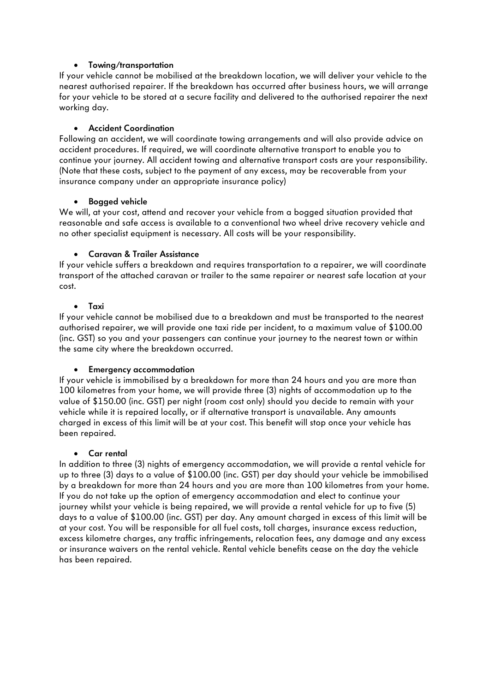# • **Towing/transportation**

If your vehicle cannot be mobilised at the breakdown location, we will deliver your vehicle to the nearest authorised repairer. If the breakdown has occurred after business hours, we will arrange for your vehicle to be stored at a secure facility and delivered to the authorised repairer the next working day.

# • **Accident Coordination**

Following an accident, we will coordinate towing arrangements and will also provide advice on accident procedures. If required, we will coordinate alternative transport to enable you to continue your journey. All accident towing and alternative transport costs are your responsibility. (Note that these costs, subject to the payment of any excess, may be recoverable from your insurance company under an appropriate insurance policy)

# • **Bogged vehicle**

We will, at your cost, attend and recover your vehicle from a bogged situation provided that reasonable and safe access is available to a conventional two wheel drive recovery vehicle and no other specialist equipment is necessary. All costs will be your responsibility.

# • **Caravan & Trailer Assistance**

If your vehicle suffers a breakdown and requires transportation to a repairer, we will coordinate transport of the attached caravan or trailer to the same repairer or nearest safe location at your cost.

### • **Taxi**

If your vehicle cannot be mobilised due to a breakdown and must be transported to the nearest authorised repairer, we will provide one taxi ride per incident, to a maximum value of \$100.00 (inc. GST) so you and your passengers can continue your journey to the nearest town or within the same city where the breakdown occurred.

### • **Emergency accommodation**

If your vehicle is immobilised by a breakdown for more than 24 hours and you are more than 100 kilometres from your home, we will provide three (3) nights of accommodation up to the value of \$150.00 (inc. GST) per night (room cost only) should you decide to remain with your vehicle while it is repaired locally, or if alternative transport is unavailable. Any amounts charged in excess of this limit will be at your cost. This benefit will stop once your vehicle has been repaired.

### • **Car rental**

In addition to three (3) nights of emergency accommodation, we will provide a rental vehicle for up to three (3) days to a value of \$100.00 (inc. GST) per day should your vehicle be immobilised by a breakdown for more than 24 hours and you are more than 100 kilometres from your home. If you do not take up the option of emergency accommodation and elect to continue your journey whilst your vehicle is being repaired, we will provide a rental vehicle for up to five (5) days to a value of \$100.00 (inc. GST) per day. Any amount charged in excess of this limit will be at your cost. You will be responsible for all fuel costs, toll charges, insurance excess reduction, excess kilometre charges, any traffic infringements, relocation fees, any damage and any excess or insurance waivers on the rental vehicle. Rental vehicle benefits cease on the day the vehicle has been repaired.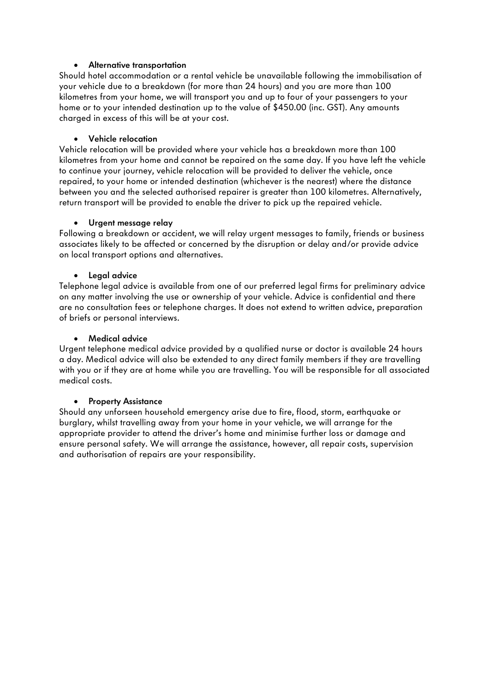# • **Alternative transportation**

Should hotel accommodation or a rental vehicle be unavailable following the immobilisation of your vehicle due to a breakdown (for more than 24 hours) and you are more than 100 kilometres from your home, we will transport you and up to four of your passengers to your home or to your intended destination up to the value of \$450.00 (inc. GST). Any amounts charged in excess of this will be at your cost.

# • **Vehicle relocation**

Vehicle relocation will be provided where your vehicle has a breakdown more than 100 kilometres from your home and cannot be repaired on the same day. If you have left the vehicle to continue your journey, vehicle relocation will be provided to deliver the vehicle, once repaired, to your home or intended destination (whichever is the nearest) where the distance between you and the selected authorised repairer is greater than 100 kilometres. Alternatively, return transport will be provided to enable the driver to pick up the repaired vehicle.

# • **Urgent message relay**

Following a breakdown or accident, we will relay urgent messages to family, friends or business associates likely to be affected or concerned by the disruption or delay and/or provide advice on local transport options and alternatives.

# • **Legal advice**

Telephone legal advice is available from one of our preferred legal firms for preliminary advice on any matter involving the use or ownership of your vehicle. Advice is confidential and there are no consultation fees or telephone charges. It does not extend to written advice, preparation of briefs or personal interviews.

# • **Medical advice**

Urgent telephone medical advice provided by a qualified nurse or doctor is available 24 hours a day. Medical advice will also be extended to any direct family members if they are travelling with you or if they are at home while you are travelling. You will be responsible for all associated medical costs.

# • **Property Assistance**

Should any unforseen household emergency arise due to fire, flood, storm, earthquake or burglary, whilst travelling away from your home in your vehicle, we will arrange for the appropriate provider to attend the driver's home and minimise further loss or damage and ensure personal safety. We will arrange the assistance, however, all repair costs, supervision and authorisation of repairs are your responsibility.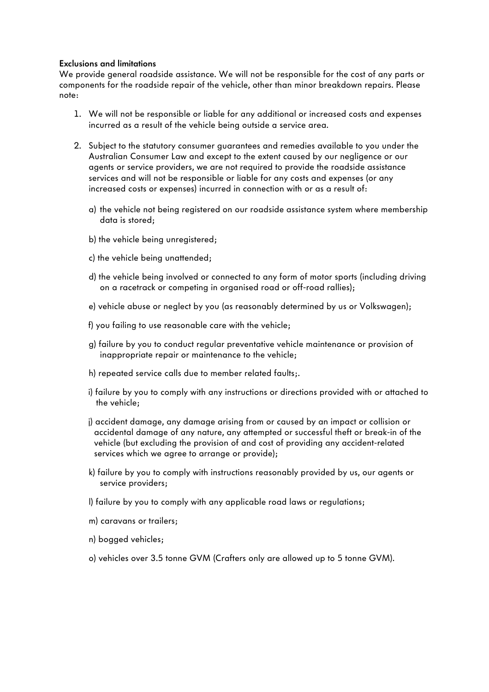### **Exclusions and limitations**

We provide general roadside assistance. We will not be responsible for the cost of any parts or components for the roadside repair of the vehicle, other than minor breakdown repairs. Please note:

- 1. We will not be responsible or liable for any additional or increased costs and expenses incurred as a result of the vehicle being outside a service area.
- 2. Subject to the statutory consumer guarantees and remedies available to you under the Australian Consumer Law and except to the extent caused by our negligence or our agents or service providers, we are not required to provide the roadside assistance services and will not be responsible or liable for any costs and expenses (or any increased costs or expenses) incurred in connection with or as a result of:
	- a) the vehicle not being registered on our roadside assistance system where membership data is stored;
	- b) the vehicle being unregistered;
	- c) the vehicle being unattended;
	- d) the vehicle being involved or connected to any form of motor sports (including driving on a racetrack or competing in organised road or off-road rallies);
	- e) vehicle abuse or neglect by you (as reasonably determined by us or Volkswagen);
	- f) you failing to use reasonable care with the vehicle;
	- g) failure by you to conduct regular preventative vehicle maintenance or provision of inappropriate repair or maintenance to the vehicle;
	- h) repeated service calls due to member related faults;.
	- i) failure by you to comply with any instructions or directions provided with or attached to the vehicle;
	- j) accident damage, any damage arising from or caused by an impact or collision or accidental damage of any nature, any attempted or successful theft or break-in of the vehicle (but excluding the provision of and cost of providing any accident-related services which we agree to arrange or provide);
	- k) failure by you to comply with instructions reasonably provided by us, our agents or service providers;
	- l) failure by you to comply with any applicable road laws or regulations;
	- m) caravans or trailers;
	- n) bogged vehicles;
	- o) vehicles over 3.5 tonne GVM (Crafters only are allowed up to 5 tonne GVM).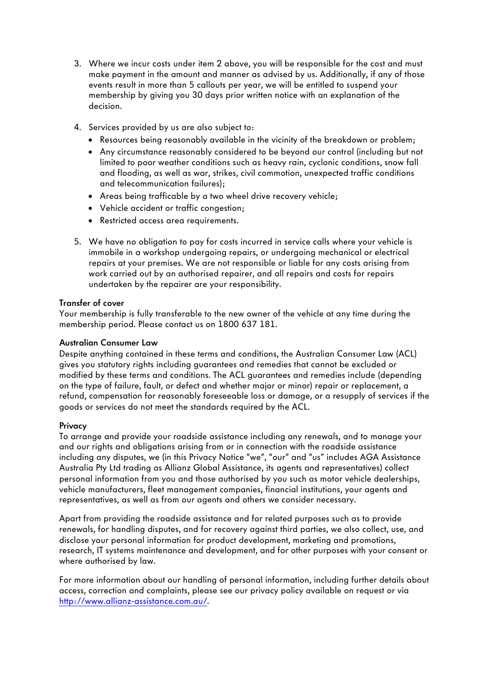- 3. Where we incur costs under item 2 above, you will be responsible for the cost and must make payment in the amount and manner as advised by us. Additionally, if any of those events result in more than 5 callouts per year, we will be entitled to suspend your membership by giving you 30 days prior written notice with an explanation of the decision.
- 4. Services provided by us are also subject to:
	- Resources being reasonably available in the vicinity of the breakdown or problem;
	- Any circumstance reasonably considered to be beyond our control (including but not limited to poor weather conditions such as heavy rain, cyclonic conditions, snow fall and flooding, as well as war, strikes, civil commotion, unexpected traffic conditions and telecommunication failures);
	- Areas being trafficable by a two wheel drive recovery vehicle;
	- Vehicle accident or traffic congestion;
	- Restricted access area requirements.
- 5. We have no obligation to pay for costs incurred in service calls where your vehicle is immobile in a workshop undergoing repairs, or undergoing mechanical or electrical repairs at your premises. We are not responsible or liable for any costs arising from work carried out by an authorised repairer, and all repairs and costs for repairs undertaken by the repairer are your responsibility.

# **Transfer of cover**

Your membership is fully transferable to the new owner of the vehicle at any time during the membership period. Please contact us on 1800 637 181.

# **Australian Consumer Law**

Despite anything contained in these terms and conditions, the Australian Consumer Law (ACL) gives you statutory rights including guarantees and remedies that cannot be excluded or modified by these terms and conditions. The ACL guarantees and remedies include (depending on the type of failure, fault, or defect and whether major or minor) repair or replacement, a refund, compensation for reasonably foreseeable loss or damage, or a resupply of services if the goods or services do not meet the standards required by the ACL.

# **Privacy**

To arrange and provide your roadside assistance including any renewals, and to manage your and our rights and obligations arising from or in connection with the roadside assistance including any disputes, we (in this Privacy Notice "we", "our" and "us" includes AGA Assistance Australia Pty Ltd trading as Allianz Global Assistance, its agents and representatives) collect personal information from you and those authorised by you such as motor vehicle dealerships, vehicle manufacturers, fleet management companies, financial institutions, your agents and representatives, as well as from our agents and others we consider necessary.

Apart from providing the roadside assistance and for related purposes such as to provide renewals, for handling disputes, and for recovery against third parties, we also collect, use, and disclose your personal information for product development, marketing and promotions, research, IT systems maintenance and development, and for other purposes with your consent or where authorised by law.

For more information about our handling of personal information, including further details about access, correction and complaints, please see our privacy policy available on request or via http://www.allianz-assistance.com.au/.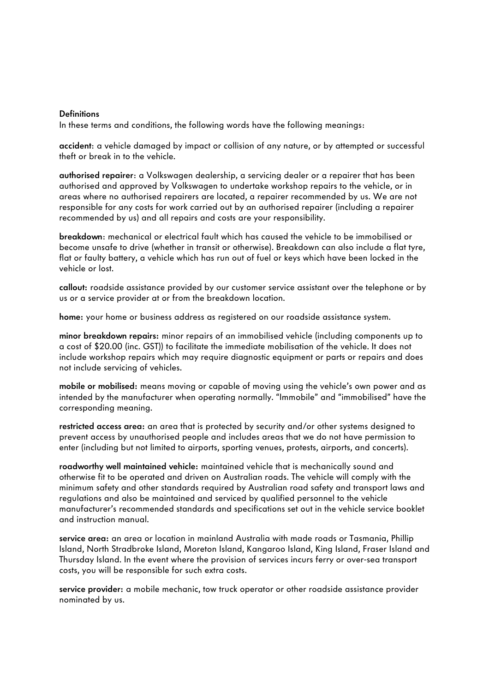#### **Definitions**

In these terms and conditions, the following words have the following meanings:

**accident**: a vehicle damaged by impact or collision of any nature, or by attempted or successful theft or break in to the vehicle.

**authorised repairer**: a Volkswagen dealership, a servicing dealer or a repairer that has been authorised and approved by Volkswagen to undertake workshop repairs to the vehicle, or in areas where no authorised repairers are located, a repairer recommended by us. We are not responsible for any costs for work carried out by an authorised repairer (including a repairer recommended by us) and all repairs and costs are your responsibility.

**breakdown**: mechanical or electrical fault which has caused the vehicle to be immobilised or become unsafe to drive (whether in transit or otherwise). Breakdown can also include a flat tyre, flat or faulty battery, a vehicle which has run out of fuel or keys which have been locked in the vehicle or lost.

**callout:** roadside assistance provided by our customer service assistant over the telephone or by us or a service provider at or from the breakdown location.

**home:** your home or business address as registered on our roadside assistance system.

**minor breakdown repairs:** minor repairs of an immobilised vehicle (including components up to a cost of \$20.00 (inc. GST)) to facilitate the immediate mobilisation of the vehicle. It does not include workshop repairs which may require diagnostic equipment or parts or repairs and does not include servicing of vehicles.

**mobile or mobilised:** means moving or capable of moving using the vehicle's own power and as intended by the manufacturer when operating normally. "Immobile" and "immobilised" have the corresponding meaning.

**restricted access area:** an area that is protected by security and/or other systems designed to prevent access by unauthorised people and includes areas that we do not have permission to enter (including but not limited to airports, sporting venues, protests, airports, and concerts).

**roadworthy well maintained vehicle:** maintained vehicle that is mechanically sound and otherwise fit to be operated and driven on Australian roads. The vehicle will comply with the minimum safety and other standards required by Australian road safety and transport laws and regulations and also be maintained and serviced by qualified personnel to the vehicle manufacturer's recommended standards and specifications set out in the vehicle service booklet and instruction manual.

**service area:** an area or location in mainland Australia with made roads or Tasmania, Phillip Island, North Stradbroke Island, Moreton Island, Kangaroo Island, King Island, Fraser Island and Thursday Island. In the event where the provision of services incurs ferry or over-sea transport costs, you will be responsible for such extra costs.

**service provider:** a mobile mechanic, tow truck operator or other roadside assistance provider nominated by us.